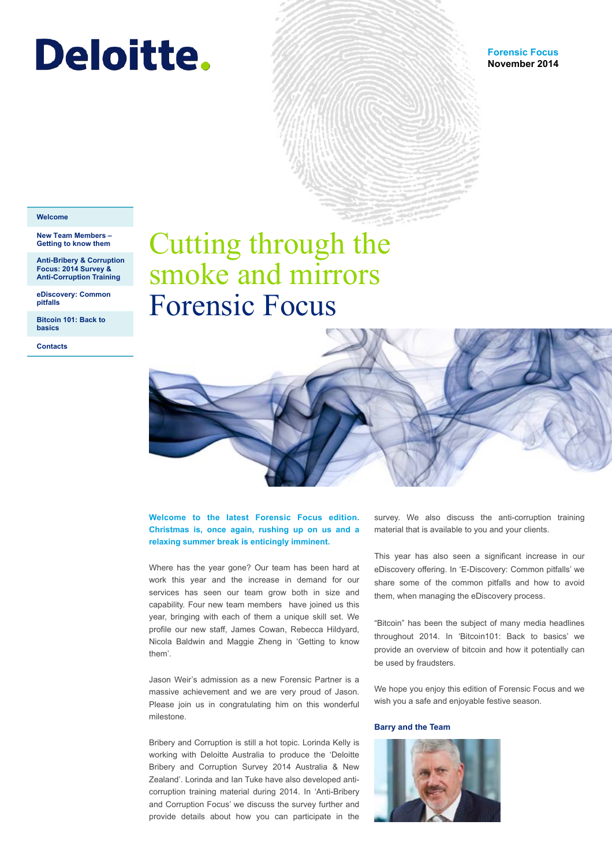# <span id="page-0-0"></span>**Deloitte.**

#### **Welcome**

#### **New Team Members – [Getting to know them](#page-1-0)**

**[Anti-Bribery & Corruption](#page-3-0)  Focus: 2014 Survey & Anti-Corruption Training** 

**[eDiscovery: Common](#page-5-0)  pitfalls** 

**[Bitcoin 101: Back to](#page-8-0)  basics** 

**[Contacts](#page-11-0)** 

# Cutting through the smoke and mirrors Forensic Focus



### **Welcome to the latest Forensic Focus edition. Christmas is, once again, rushing up on us and a relaxing summer break is enticingly imminent.**

Where has the year gone? Our team has been hard at work this year and the increase in demand for our services has seen our team grow both in size and capability. Four new team members have joined us this year, bringing with each of them a unique skill set. We profile our new staff, James Cowan, Rebecca Hildyard, Nicola Baldwin and Maggie Zheng in 'Getting to know them'.

Jason Weir's admission as a new Forensic Partner is a massive achievement and we are very proud of Jason. Please join us in congratulating him on this wonderful milestone.

Bribery and Corruption is still a hot topic. Lorinda Kelly is working with Deloitte Australia to produce the 'Deloitte Bribery and Corruption Survey 2014 Australia & New Zealand'. Lorinda and Ian Tuke have also developed anticorruption training material during 2014. In 'Anti-Bribery and Corruption Focus' we discuss the survey further and provide details about how you can participate in the

survey. We also discuss the anti-corruption training material that is available to you and your clients.

This year has also seen a significant increase in our eDiscovery offering. In 'E-Discovery: Common pitfalls' we share some of the common pitfalls and how to avoid them, when managing the eDiscovery process.

"Bitcoin" has been the subject of many media headlines throughout 2014. In 'Bitcoin101: Back to basics' we provide an overview of bitcoin and how it potentially can be used by fraudsters.

We hope you enjoy this edition of Forensic Focus and we wish you a safe and enjoyable festive season.

### **Barry and the Team**

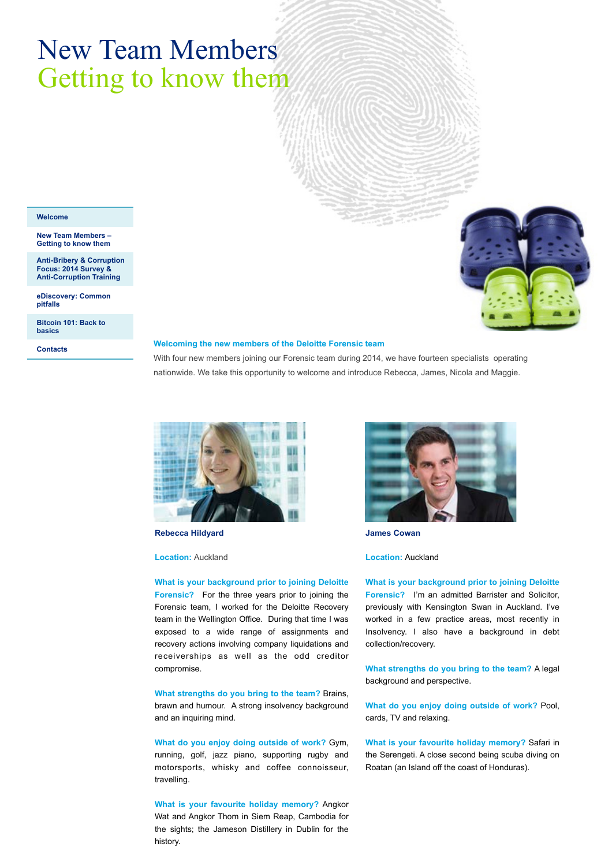# <span id="page-1-0"></span>New Team Members Getting to know them

#### **[Welcome](#page-0-0)**

**New Team Members – Getting to know them** 

**[Anti-Bribery & Corruption](#page-3-0)  Focus: 2014 Survey & Anti-Corruption Training** 

**[eDiscovery: Common](#page-5-0)  pitfalls** 

**[Bitcoin 101: Back to](#page-8-0)  basics** 

**[Contacts](#page-11-0)** 

#### **Welcoming the new members of the Deloitte Forensic team**

With four new members joining our Forensic team during 2014, we have fourteen specialists operating nationwide. We take this opportunity to welcome and introduce Rebecca, James, Nicola and Maggie.



**Rebecca Hildyard** 

#### **Location:** Auckland

**What is your background prior to joining Deloitte Forensic?** For the three years prior to joining the Forensic team, I worked for the Deloitte Recovery team in the Wellington Office. During that time I was exposed to a wide range of assignments and recovery actions involving company liquidations and receiverships as well as the odd creditor compromise.

**What strengths do you bring to the team?** Brains, brawn and humour. A strong insolvency background and an inquiring mind.

**What do you enjoy doing outside of work?** Gym, running, golf, jazz piano, supporting rugby and motorsports, whisky and coffee connoisseur, travelling.

**What is your favourite holiday memory?** Angkor Wat and Angkor Thom in Siem Reap, Cambodia for the sights; the Jameson Distillery in Dublin for the history.



**James Cowan** 

#### **Location:** Auckland

**What is your background prior to joining Deloitte Forensic?** I'm an admitted Barrister and Solicitor, previously with Kensington Swan in Auckland. I've worked in a few practice areas, most recently in Insolvency. I also have a background in debt collection/recovery.

**What strengths do you bring to the team?** A legal background and perspective.

**What do you enjoy doing outside of work?** Pool, cards, TV and relaxing.

**What is your favourite holiday memory?** Safari in the Serengeti. A close second being scuba diving on Roatan (an Island off the coast of Honduras).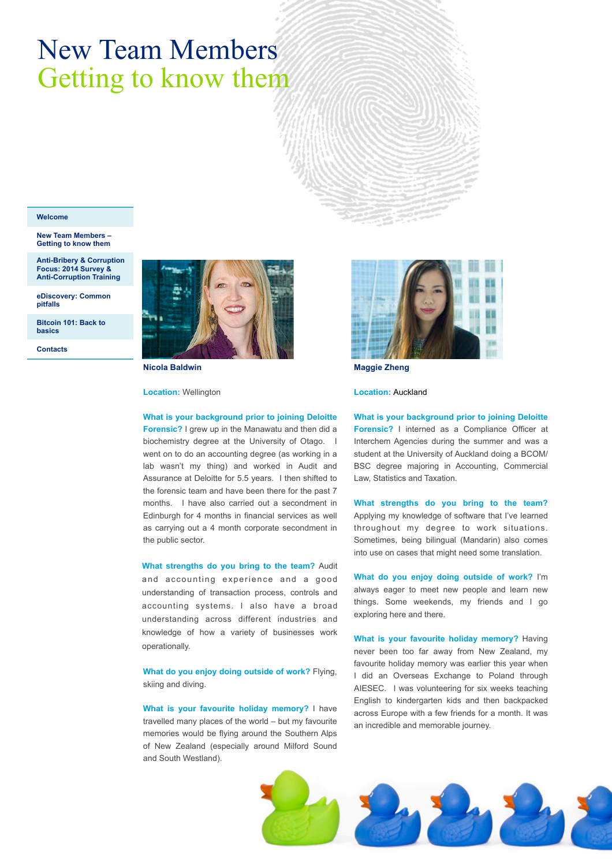# New Team Members Getting to know them

#### **[Welcome](#page-0-0)**

**[New Team Members –](#page-1-0)  Getting to know them** 

**[Anti-Bribery & Corruption](#page-3-0)  Focus: 2014 Survey & Anti-Corruption Training**

**[eDiscovery: Common](#page-5-0)  pitfalls** 

**[Bitcoin 101: Back to](#page-8-0)  basics** 

**[Contacts](#page-11-0)** 



**Nicola Baldwin** 

**Location:** Wellington

#### **What is your background prior to joining Deloitte**

**Forensic?** I grew up in the Manawatu and then did a biochemistry degree at the University of Otago. I went on to do an accounting degree (as working in a lab wasn't my thing) and worked in Audit and Assurance at Deloitte for 5.5 years. I then shifted to the forensic team and have been there for the past 7 months. I have also carried out a secondment in Edinburgh for 4 months in financial services as well as carrying out a 4 month corporate secondment in the public sector.

**What strengths do you bring to the team?** Audit and accounting experience and a good understanding of transaction process, controls and accounting systems. I also have a broad understanding across different industries and knowledge of how a variety of businesses work operationally.

**What do you enjoy doing outside of work?** Flying, skiing and diving.

**What is your favourite holiday memory?** I have travelled many places of the world – but my favourite memories would be flying around the Southern Alps of New Zealand (especially around Milford Sound and South Westland).



**Maggie Zheng** 

**Location:** Auckland

**What is your background prior to joining Deloitte Forensic?** I interned as a Compliance Officer at Interchem Agencies during the summer and was a student at the University of Auckland doing a BCOM/ BSC degree majoring in Accounting, Commercial Law, Statistics and Taxation.

**What strengths do you bring to the team?**  Applying my knowledge of software that I've learned throughout my degree to work situations. Sometimes, being bilingual (Mandarin) also comes into use on cases that might need some translation.

**What do you enjoy doing outside of work?** I'm always eager to meet new people and learn new things. Some weekends, my friends and I go exploring here and there.

**What is your favourite holiday memory?** Having never been too far away from New Zealand, my favourite holiday memory was earlier this year when I did an Overseas Exchange to Poland through AIESEC. I was volunteering for six weeks teaching English to kindergarten kids and then backpacked across Europe with a few friends for a month. It was an incredible and memorable journey.

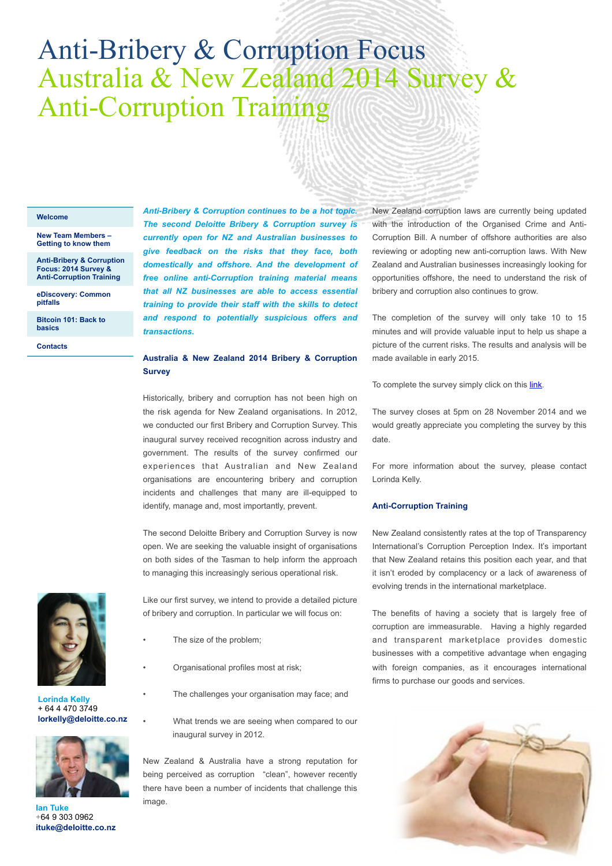## <span id="page-3-0"></span>Anti-Bribery & Corruption Focus Australia & New Zealand 2014 Survey & Anti-Corruption Training

#### **[Welcome](#page-0-0)**

#### **[New Team Members –](#page-1-0)  Getting to know them**

**Anti-Bribery & Corruption Focus: 2014 Survey & Anti-Corruption Training**

**[eDiscovery: Common](#page-5-0)  pitfalls** 

**[Bitcoin 101: Back to](#page-8-0)  basics** 

**[Contacts](#page-11-0)** 

*Anti-Bribery & Corruption continues to be a hot topic. The second Deloitte Bribery & Corruption survey is currently open for NZ and Australian businesses to give feedback on the risks that they face, both domestically and offshore. And the development of free online anti-Corruption training material means that all NZ businesses are able to access essential training to provide their staff with the skills to detect and respond to potentially suspicious offers and transactions.* 

### **Australia & New Zealand 2014 Bribery & Corruption Survey**

Historically, bribery and corruption has not been high on the risk agenda for New Zealand organisations. In 2012, we conducted our first Bribery and Corruption Survey. This inaugural survey received recognition across industry and government. The results of the survey confirmed our experiences that Australian and New Zealand organisations are encountering bribery and corruption incidents and challenges that many are ill-equipped to identify, manage and, most importantly, prevent.

The second Deloitte Bribery and Corruption Survey is now open. We are seeking the valuable insight of organisations on both sides of the Tasman to help inform the approach to managing this increasingly serious operational risk.

Like our first survey, we intend to provide a detailed picture of bribery and corruption. In particular we will focus on:

- The size of the problem;
- Organisational profiles most at risk;
- The challenges your organisation may face; and
- What trends we are seeing when compared to our inaugural survey in 2012.

New Zealand & Australia have a strong reputation for being perceived as corruption "clean", however recently there have been a number of incidents that challenge this image.

New Zealand corruption laws are currently being updated with the introduction of the Organised Crime and Anti-Corruption Bill. A number of offshore authorities are also reviewing or adopting new anti-corruption laws. With New Zealand and Australian businesses increasingly looking for opportunities offshore, the need to understand the risk of bribery and corruption also continues to grow.

The completion of the survey will only take 10 to 15 minutes and will provide valuable input to help us shape a picture of the current risks. The results and analysis will be made available in early 2015.

To complete the survey simply click on this [link.](https://deloitteau.az1.qualtrics.com/SE/?SID=SV_bHfR0zNxIpmLlQh)

The survey closes at 5pm on 28 November 2014 and we would greatly appreciate you completing the survey by this date.

For more information about the survey, please contact Lorinda Kelly.

#### **Anti-Corruption Training**

New Zealand consistently rates at the top of Transparency International's Corruption Perception Index. It's important that New Zealand retains this position each year, and that it isn't eroded by complacency or a lack of awareness of evolving trends in the international marketplace.

The benefits of having a society that is largely free of corruption are immeasurable. Having a highly regarded and transparent marketplace provides domestic businesses with a competitive advantage when engaging with foreign companies, as it encourages international firms to purchase our goods and services.





**Lorinda Kelly**  + 64 4 470 3749 **lorkelly@deloitte.co.nz** 



**Ian Tuke**  +64 9 303 0962 **ituke@deloitte.co.nz**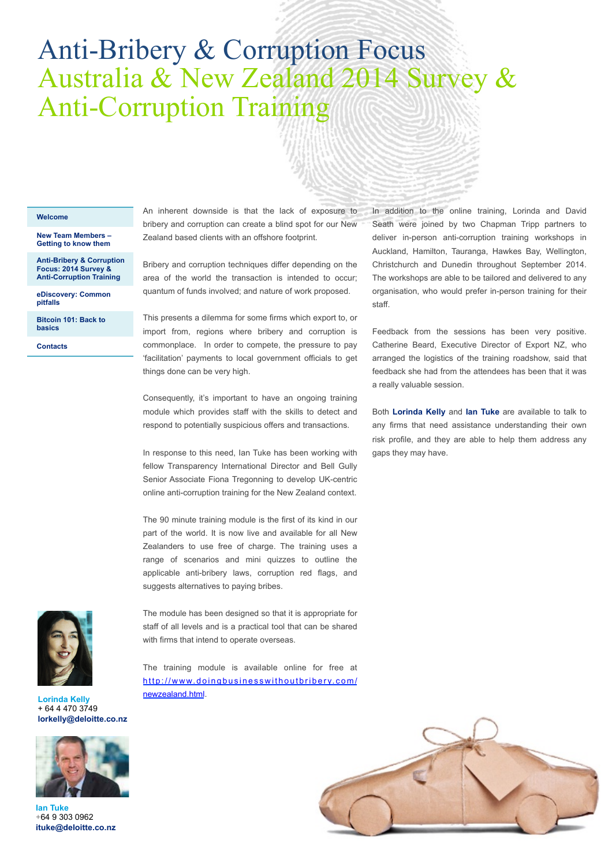## Anti-Bribery & Corruption Focus Australia & New Zealand 2014 Survey & Anti-Corruption Training

#### **[Welcome](#page-0-0)**

**[New Team Members –](#page-1-0)  Getting to know them** 

**[Anti-Bribery & Corruption](#page-3-0)  Focus: 2014 Survey & Anti-Corruption Training**

**[eDiscovery: Common](#page-5-0)  pitfalls** 

**[Bitcoin 101: Back to](#page-8-0)  basics** 

**[Contacts](#page-11-0)** 

An inherent downside is that the lack of exposure to bribery and corruption can create a blind spot for our New Zealand based clients with an offshore footprint.

Bribery and corruption techniques differ depending on the area of the world the transaction is intended to occur; quantum of funds involved; and nature of work proposed.

This presents a dilemma for some firms which export to, or import from, regions where bribery and corruption is commonplace. In order to compete, the pressure to pay 'facilitation' payments to local government officials to get things done can be very high.

Consequently, it's important to have an ongoing training module which provides staff with the skills to detect and respond to potentially suspicious offers and transactions.

In response to this need, Ian Tuke has been working with fellow Transparency International Director and Bell Gully Senior Associate Fiona Tregonning to develop UK-centric online anti-corruption training for the New Zealand context.

The 90 minute training module is the first of its kind in our part of the world. It is now live and available for all New Zealanders to use free of charge. The training uses a range of scenarios and mini quizzes to outline the applicable anti-bribery laws, corruption red flags, and suggests alternatives to paying bribes.



**Lorinda Kelly**  + 64 4 470 3749 **lorkelly@deloitte.co.nz** 



**Ian Tuke**  +64 9 303 0962 **ituke@deloitte.co.nz**

In addition to the online training, Lorinda and David Seath were joined by two Chapman Tripp partners to deliver in-person anti-corruption training workshops in Auckland, Hamilton, Tauranga, Hawkes Bay, Wellington, Christchurch and Dunedin throughout September 2014. The workshops are able to be tailored and delivered to any organisation, who would prefer in-person training for their staff.

Feedback from the sessions has been very positive. Catherine Beard, Executive Director of Export NZ, who arranged the logistics of the training roadshow, said that feedback she had from the attendees has been that it was a really valuable session.

Both **Lorinda Kelly** and **Ian Tuke** are available to talk to any firms that need assistance understanding their own risk profile, and they are able to help them address any gaps they may have.



The module has been designed so that it is appropriate for staff of all levels and is a practical tool that can be shared with firms that intend to operate overseas.

The training module is available online for free at [http://www.doingbusinesswithoutbribery.com/](http://www.doingbusinesswithoutbribery.com/newzealand.html) newzealand.html.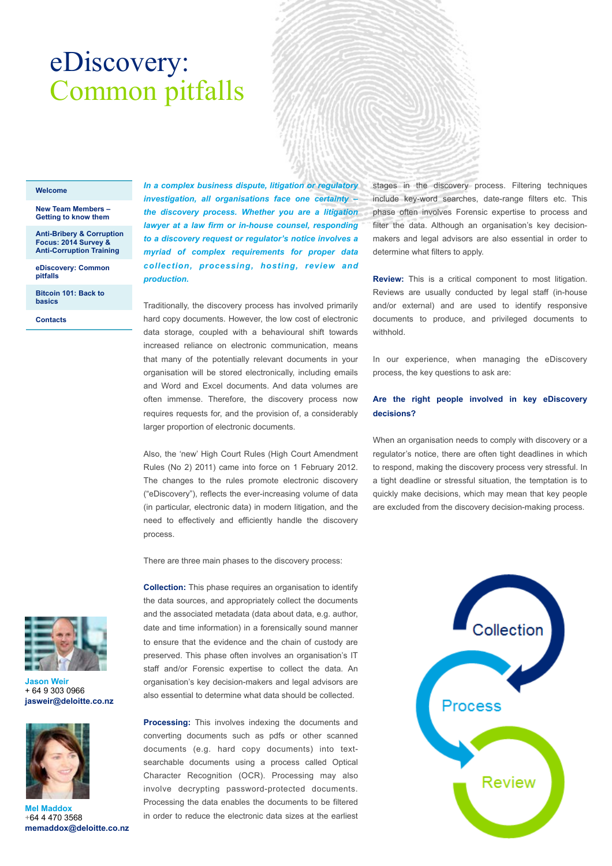# <span id="page-5-0"></span>eDiscovery: Common pitfalls

#### **[Welcome](#page-0-0)**

**[New Team Members –](#page-1-0)  Getting to know them** 

**[Anti-Bribery & Corruption](#page-3-0)  Focus: 2014 Survey & Anti-Corruption Training**

**eDiscovery: Common pitfalls** 

**[Bitcoin 101: Back to](#page-8-0)  basics** 

**[Contacts](#page-11-0)** 

*In a complex business dispute, litigation or regulatory investigation, all organisations face one certainty – the discovery process. Whether you are a litigation lawyer at a law firm or in-house counsel, responding to a discovery request or regulator's notice involves a myriad of complex requirements for proper data collection, processing, hosting, review and production.* 

Traditionally, the discovery process has involved primarily hard copy documents. However, the low cost of electronic data storage, coupled with a behavioural shift towards increased reliance on electronic communication, means that many of the potentially relevant documents in your organisation will be stored electronically, including emails and Word and Excel documents. And data volumes are often immense. Therefore, the discovery process now requires requests for, and the provision of, a considerably larger proportion of electronic documents.

Also, the 'new' High Court Rules (High Court Amendment Rules (No 2) 2011) came into force on 1 February 2012. The changes to the rules promote electronic discovery ("eDiscovery"), reflects the ever-increasing volume of data (in particular, electronic data) in modern litigation, and the need to effectively and efficiently handle the discovery process.

There are three main phases to the discovery process:

**Collection:** This phase requires an organisation to identify the data sources, and appropriately collect the documents and the associated metadata (data about data, e.g. author, date and time information) in a forensically sound manner to ensure that the evidence and the chain of custody are preserved. This phase often involves an organisation's IT staff and/or Forensic expertise to collect the data. An organisation's key decision-makers and legal advisors are also essential to determine what data should be collected.

**Processing:** This involves indexing the documents and converting documents such as pdfs or other scanned documents (e.g. hard copy documents) into textsearchable documents using a process called Optical Character Recognition (OCR). Processing may also involve decrypting password-protected documents. Processing the data enables the documents to be filtered in order to reduce the electronic data sizes at the earliest stages in the discovery process. Filtering techniques include key-word searches, date-range filters etc. This phase often involves Forensic expertise to process and filter the data. Although an organisation's key decisionmakers and legal advisors are also essential in order to determine what filters to apply.

**Review:** This is a critical component to most litigation. Reviews are usually conducted by legal staff (in-house and/or external) and are used to identify responsive documents to produce, and privileged documents to withhold.

In our experience, when managing the eDiscovery process, the key questions to ask are:

### **Are the right people involved in key eDiscovery decisions?**

When an organisation needs to comply with discovery or a regulator's notice, there are often tight deadlines in which to respond, making the discovery process very stressful. In a tight deadline or stressful situation, the temptation is to quickly make decisions, which may mean that key people are excluded from the discovery decision-making process.





**Jason Weir**  + 64 9 303 0966 **jasweir@deloitte.co.nz** 



**Mel Maddox**  +64 4 470 3568 **memaddox@deloitte.co.nz**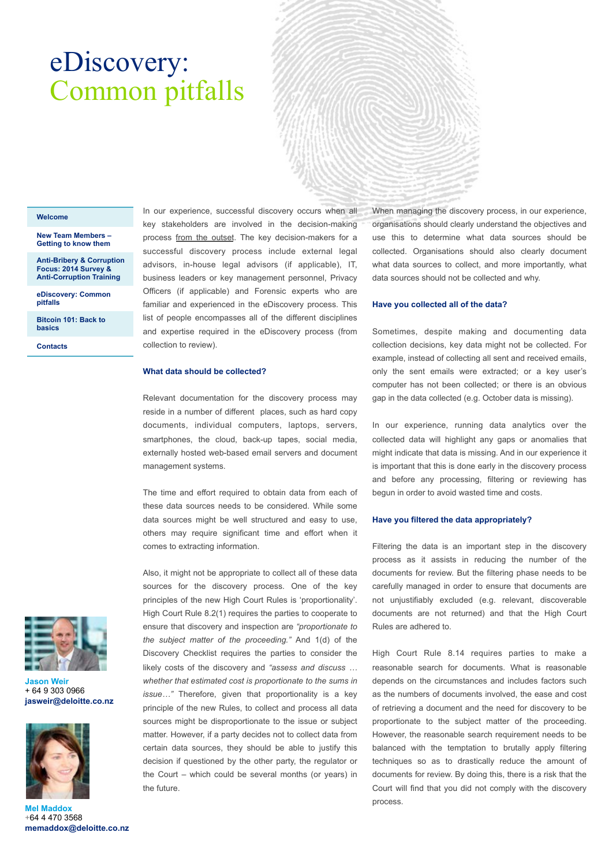## eDiscovery: Common pitfalls

#### **[Welcome](#page-0-0)**

#### **[New Team Members –](#page-1-0)  Getting to know them**

**[Anti-Bribery & Corruption](#page-3-0)  Focus: 2014 Survey & Anti-Corruption Training**

**[eDiscovery: Common](#page-5-0)  pitfalls** 

**[Bitcoin 101: Back to](#page-8-0)  basics** 

**[Contacts](#page-11-0)** 

In our experience, successful discovery occurs when all key stakeholders are involved in the decision-making process from the outset. The key decision-makers for a successful discovery process include external legal advisors, in-house legal advisors (if applicable), IT, business leaders or key management personnel, Privacy Officers (if applicable) and Forensic experts who are familiar and experienced in the eDiscovery process. This list of people encompasses all of the different disciplines and expertise required in the eDiscovery process (from collection to review).

#### **What data should be collected?**

Relevant documentation for the discovery process may reside in a number of different places, such as hard copy documents, individual computers, laptops, servers, smartphones, the cloud, back-up tapes, social media, externally hosted web-based email servers and document management systems.

The time and effort required to obtain data from each of these data sources needs to be considered. While some data sources might be well structured and easy to use, others may require significant time and effort when it comes to extracting information.

Also, it might not be appropriate to collect all of these data sources for the discovery process. One of the key principles of the new High Court Rules is 'proportionality'. High Court Rule 8.2(1) requires the parties to cooperate to ensure that discovery and inspection are *"proportionate to the subject matter of the proceeding."* And 1(d) of the Discovery Checklist requires the parties to consider the likely costs of the discovery and *"assess and discuss … whether that estimated cost is proportionate to the sums in issue…"* Therefore, given that proportionality is a key principle of the new Rules, to collect and process all data sources might be disproportionate to the issue or subject matter. However, if a party decides not to collect data from certain data sources, they should be able to justify this decision if questioned by the other party, the regulator or the Court – which could be several months (or years) in the future.

When managing the discovery process, in our experience, organisations should clearly understand the objectives and use this to determine what data sources should be collected. Organisations should also clearly document what data sources to collect, and more importantly, what data sources should not be collected and why.

#### **Have you collected all of the data?**

Sometimes, despite making and documenting data collection decisions, key data might not be collected. For example, instead of collecting all sent and received emails, only the sent emails were extracted; or a key user's computer has not been collected; or there is an obvious gap in the data collected (e.g. October data is missing).

In our experience, running data analytics over the collected data will highlight any gaps or anomalies that might indicate that data is missing. And in our experience it is important that this is done early in the discovery process and before any processing, filtering or reviewing has begun in order to avoid wasted time and costs.

#### **Have you filtered the data appropriately?**

Filtering the data is an important step in the discovery process as it assists in reducing the number of the documents for review. But the filtering phase needs to be carefully managed in order to ensure that documents are not unjustifiably excluded (e.g. relevant, discoverable documents are not returned) and that the High Court Rules are adhered to.

High Court Rule 8.14 requires parties to make a reasonable search for documents. What is reasonable depends on the circumstances and includes factors such as the numbers of documents involved, the ease and cost of retrieving a document and the need for discovery to be proportionate to the subject matter of the proceeding. However, the reasonable search requirement needs to be balanced with the temptation to brutally apply filtering techniques so as to drastically reduce the amount of documents for review. By doing this, there is a risk that the Court will find that you did not comply with the discovery process.



**Jason Weir**  + 64 9 303 0966 **jasweir@deloitte.co.nz** 



**Mel Maddox**  +64 4 470 3568 **memaddox@deloitte.co.nz**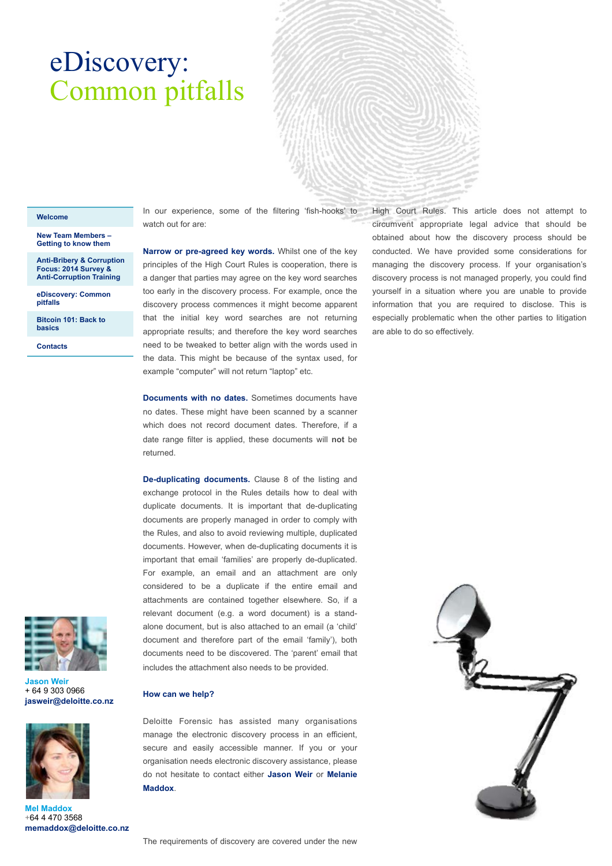## eDiscovery: Common pitfalls

#### **[Welcome](#page-0-0)**

**[New Team Members –](#page-1-0)  Getting to know them** 

**[Anti-Bribery & Corruption](#page-3-0)  Focus: 2014 Survey & Anti-Corruption Training**

**[eDiscovery: Common](#page-5-0)  pitfalls** 

**[Bitcoin 101: Back to](#page-8-0)  basics** 

**[Contacts](#page-11-0)** 

In our experience, some of the filtering 'fish-hooks' to watch out for are:

**Narrow or pre-agreed key words.** Whilst one of the key principles of the High Court Rules is cooperation, there is a danger that parties may agree on the key word searches too early in the discovery process. For example, once the discovery process commences it might become apparent that the initial key word searches are not returning appropriate results; and therefore the key word searches need to be tweaked to better align with the words used in the data. This might be because of the syntax used, for example "computer" will not return "laptop" etc.

**Documents with no dates.** Sometimes documents have no dates. These might have been scanned by a scanner which does not record document dates. Therefore, if a date range filter is applied, these documents will **not** be returned.

**De-duplicating documents.** Clause 8 of the listing and exchange protocol in the Rules details how to deal with duplicate documents. It is important that de-duplicating documents are properly managed in order to comply with the Rules, and also to avoid reviewing multiple, duplicated documents. However, when de-duplicating documents it is important that email 'families' are properly de-duplicated. For example, an email and an attachment are only considered to be a duplicate if the entire email and attachments are contained together elsewhere. So, if a relevant document (e.g. a word document) is a standalone document, but is also attached to an email (a 'child' document and therefore part of the email 'family'), both documents need to be discovered. The 'parent' email that includes the attachment also needs to be provided.



**Jason Weir**  + 64 9 303 0966 **jasweir@deloitte.co.nz** 



**Mel Maddox**  +64 4 470 3568 **memaddox@deloitte.co.nz**

**How can we help?** 

Deloitte Forensic has assisted many organisations manage the electronic discovery process in an efficient, secure and easily accessible manner. If you or your organisation needs electronic discovery assistance, please do not hesitate to contact either **Jason Weir** or **Melanie Maddox**.

High Court Rules. This article does not attempt to circumvent appropriate legal advice that should be obtained about how the discovery process should be conducted. We have provided some considerations for managing the discovery process. If your organisation's discovery process is not managed properly, you could find yourself in a situation where you are unable to provide information that you are required to disclose. This is especially problematic when the other parties to litigation are able to do so effectively.

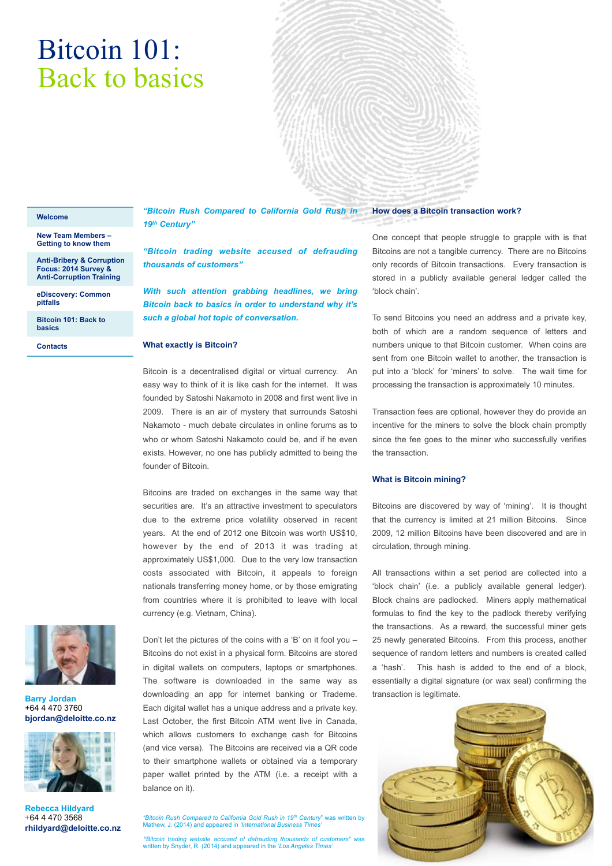# <span id="page-8-0"></span>Bitcoin 101: Back to basics



#### **[Welcome](#page-0-0)**

**[New Team Members –](#page-1-0)  Getting to know them** 

**[Anti-Bribery & Corruption](#page-3-0)  Focus: 2014 Survey & Anti-Corruption Training**

**[eDiscovery: Common](#page-5-0)  pitfalls** 

**Bitcoin 101: Back to basics** 

**[Contacts](#page-11-0)** 



*"Bitcoin trading website accused of defrauding thousands of customers"*

*With such attention grabbing headlines, we bring Bitcoin back to basics in order to understand why it's such a global hot topic of conversation.* 

### **What exactly is Bitcoin?**

Bitcoin is a decentralised digital or virtual currency. An easy way to think of it is like cash for the internet. It was founded by Satoshi Nakamoto in 2008 and first went live in 2009. There is an air of mystery that surrounds Satoshi Nakamoto - much debate circulates in online forums as to who or whom Satoshi Nakamoto could be, and if he even exists. However, no one has publicly admitted to being the founder of Bitcoin.

Bitcoins are traded on exchanges in the same way that securities are. It's an attractive investment to speculators due to the extreme price volatility observed in recent years. At the end of 2012 one Bitcoin was worth US\$10, however by the end of 2013 it was trading at approximately US\$1,000. Due to the very low transaction costs associated with Bitcoin, it appeals to foreign nationals transferring money home, or by those emigrating from countries where it is prohibited to leave with local currency (e.g. Vietnam, China).



**Barry Jordan**  +64 4 470 3760 **bjordan@deloitte.co.nz** 



**Rebecca Hildyard**  +64 4 470 3568 **rhildyard@deloitte.co.nz** Don't let the pictures of the coins with a 'B' on it fool you – Bitcoins do not exist in a physical form. Bitcoins are stored in digital wallets on computers, laptops or smartphones. The software is downloaded in the same way as downloading an app for internet banking or Trademe. Each digital wallet has a unique address and a private key. Last October, the first Bitcoin ATM went live in Canada, which allows customers to exchange cash for Bitcoins (and vice versa). The Bitcoins are received via a QR code to their smartphone wallets or obtained via a temporary paper wallet printed by the ATM (i.e. a receipt with a balance on it).

*"Bitcoin Rush Compared to California Gold Rush in 19th Century*" was written by Mathew, J. (2014) and appeared in *'International Business Time* 

*"Bitcoin trading website accused of defrauding thousands of customers"* was written by Snyder, R. (2014) and appeared in the '*Los Angeles Times'*

#### **How does a Bitcoin transaction work?**

One concept that people struggle to grapple with is that Bitcoins are not a tangible currency. There are no Bitcoins only records of Bitcoin transactions. Every transaction is stored in a publicly available general ledger called the 'block chain'.

To send Bitcoins you need an address and a private key, both of which are a random sequence of letters and numbers unique to that Bitcoin customer. When coins are sent from one Bitcoin wallet to another, the transaction is put into a 'block' for 'miners' to solve. The wait time for processing the transaction is approximately 10 minutes.

Transaction fees are optional, however they do provide an incentive for the miners to solve the block chain promptly since the fee goes to the miner who successfully verifies the transaction.

### **What is Bitcoin mining?**

Bitcoins are discovered by way of 'mining'. It is thought that the currency is limited at 21 million Bitcoins. Since 2009, 12 million Bitcoins have been discovered and are in circulation, through mining.

All transactions within a set period are collected into a 'block chain' (i.e. a publicly available general ledger). Block chains are padlocked. Miners apply mathematical formulas to find the key to the padlock thereby verifying the transactions. As a reward, the successful miner gets 25 newly generated Bitcoins. From this process, another sequence of random letters and numbers is created called a 'hash'. This hash is added to the end of a block, essentially a digital signature (or wax seal) confirming the transaction is legitimate.

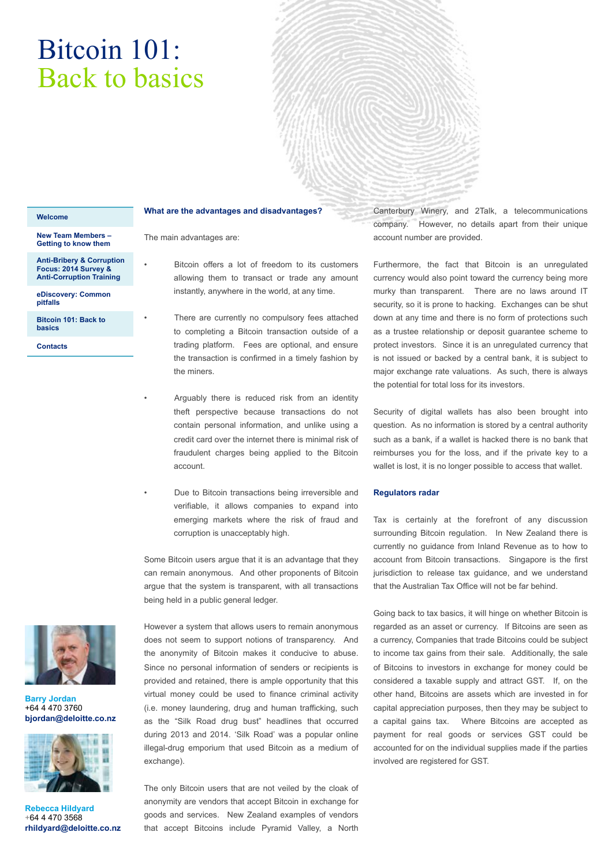# Bitcoin 101: Back to basics

#### **[Welcome](#page-0-0)**

**[New Team Members –](#page-1-0)  Getting to know them** 

**[Anti-Bribery & Corruption](#page-3-0)  Focus: 2014 Survey & Anti-Corruption Training**

**[eDiscovery: Common](#page-5-0)  pitfalls** 

**[Bitcoin 101: Back to](#page-8-0)  basics** 

**[Contacts](#page-11-0)** 



**Barry Jordan**  +64 4 470 3760 **bjordan@deloitte.co.nz** 



**Rebecca Hildyard**  +64 4 470 3568 **rhildyard@deloitte.co.nz**

### **What are the advantages and disadvantages?**

The main advantages are:

- Bitcoin offers a lot of freedom to its customers allowing them to transact or trade any amount instantly, anywhere in the world, at any time.
- There are currently no compulsory fees attached to completing a Bitcoin transaction outside of a trading platform. Fees are optional, and ensure the transaction is confirmed in a timely fashion by the miners.
- Arguably there is reduced risk from an identity theft perspective because transactions do not contain personal information, and unlike using a credit card over the internet there is minimal risk of fraudulent charges being applied to the Bitcoin account.
- Due to Bitcoin transactions being irreversible and verifiable, it allows companies to expand into emerging markets where the risk of fraud and corruption is unacceptably high.

Some Bitcoin users argue that it is an advantage that they can remain anonymous. And other proponents of Bitcoin argue that the system is transparent, with all transactions being held in a public general ledger.

However a system that allows users to remain anonymous does not seem to support notions of transparency. And the anonymity of Bitcoin makes it conducive to abuse. Since no personal information of senders or recipients is provided and retained, there is ample opportunity that this virtual money could be used to finance criminal activity (i.e. money laundering, drug and human trafficking, such as the "Silk Road drug bust" headlines that occurred during 2013 and 2014. 'Silk Road' was a popular online illegal-drug emporium that used Bitcoin as a medium of exchange).

The only Bitcoin users that are not veiled by the cloak of anonymity are vendors that accept Bitcoin in exchange for goods and services. New Zealand examples of vendors that accept Bitcoins include Pyramid Valley, a North Canterbury Winery, and 2Talk, a telecommunications company. However, no details apart from their unique account number are provided.

Furthermore, the fact that Bitcoin is an unregulated currency would also point toward the currency being more murky than transparent. There are no laws around IT security, so it is prone to hacking. Exchanges can be shut down at any time and there is no form of protections such as a trustee relationship or deposit guarantee scheme to protect investors. Since it is an unregulated currency that is not issued or backed by a central bank, it is subject to major exchange rate valuations. As such, there is always the potential for total loss for its investors.

Security of digital wallets has also been brought into question. As no information is stored by a central authority such as a bank, if a wallet is hacked there is no bank that reimburses you for the loss, and if the private key to a wallet is lost, it is no longer possible to access that wallet.

#### **Regulators radar**

Tax is certainly at the forefront of any discussion surrounding Bitcoin regulation. In New Zealand there is currently no guidance from Inland Revenue as to how to account from Bitcoin transactions. Singapore is the first jurisdiction to release tax guidance, and we understand that the Australian Tax Office will not be far behind.

Going back to tax basics, it will hinge on whether Bitcoin is regarded as an asset or currency. If Bitcoins are seen as a currency, Companies that trade Bitcoins could be subject to income tax gains from their sale. Additionally, the sale of Bitcoins to investors in exchange for money could be considered a taxable supply and attract GST. If, on the other hand, Bitcoins are assets which are invested in for capital appreciation purposes, then they may be subject to a capital gains tax. Where Bitcoins are accepted as payment for real goods or services GST could be accounted for on the individual supplies made if the parties involved are registered for GST.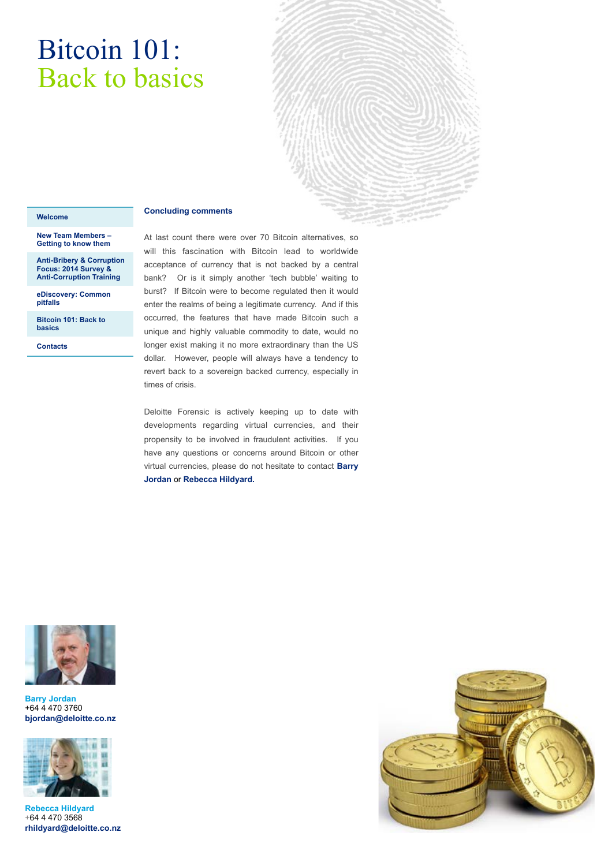# Bitcoin 101: Back to basics

### **Concluding comments**

#### **[Welcome](#page-0-0)**

**[New Team Members –](#page-1-0)  Getting to know them** 

**[Anti-Bribery & Corruption](#page-3-0)  Focus: 2014 Survey & Anti-Corruption Training**

**[eDiscovery: Common](#page-5-0)  pitfalls** 

**[Bitcoin 101: Back to](#page-8-0)  basics** 

**[Contacts](#page-11-0)** 

At last count there were over 70 Bitcoin alternatives, so will this fascination with Bitcoin lead to worldwide acceptance of currency that is not backed by a central bank? Or is it simply another 'tech bubble' waiting to burst? If Bitcoin were to become regulated then it would enter the realms of being a legitimate currency. And if this occurred, the features that have made Bitcoin such a unique and highly valuable commodity to date, would no longer exist making it no more extraordinary than the US dollar. However, people will always have a tendency to revert back to a sovereign backed currency, especially in times of crisis.

Deloitte Forensic is actively keeping up to date with developments regarding virtual currencies, and their propensity to be involved in fraudulent activities. If you have any questions or concerns around Bitcoin or other virtual currencies, please do not hesitate to contact **Barry Jordan** or **Rebecca Hildyard.**



#### **Barry Jordan**  +64 4 470 3760 **bjordan@deloitte.co.nz**



**Rebecca Hildyard**  +64 4 470 3568 **rhildyard@deloitte.co.nz**